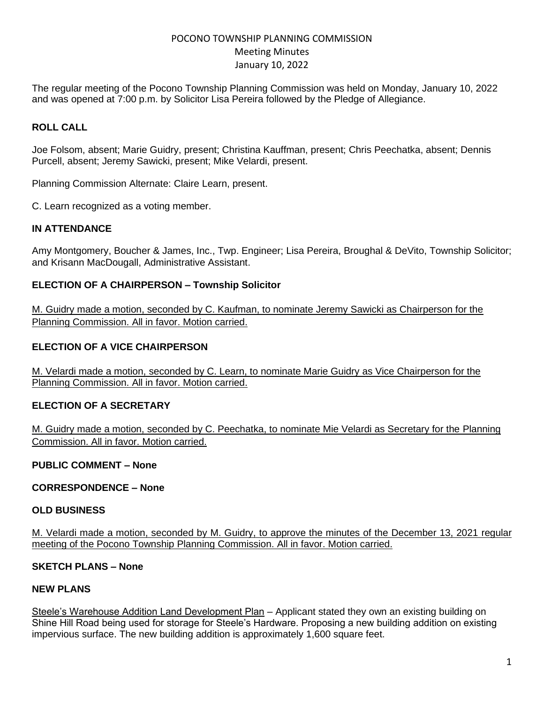# POCONO TOWNSHIP PLANNING COMMISSION Meeting Minutes January 10, 2022

The regular meeting of the Pocono Township Planning Commission was held on Monday, January 10, 2022 and was opened at 7:00 p.m. by Solicitor Lisa Pereira followed by the Pledge of Allegiance.

## **ROLL CALL**

Joe Folsom, absent; Marie Guidry, present; Christina Kauffman, present; Chris Peechatka, absent; Dennis Purcell, absent; Jeremy Sawicki, present; Mike Velardi, present.

Planning Commission Alternate: Claire Learn, present.

C. Learn recognized as a voting member.

### **IN ATTENDANCE**

Amy Montgomery, Boucher & James, Inc., Twp. Engineer; Lisa Pereira, Broughal & DeVito, Township Solicitor; and Krisann MacDougall, Administrative Assistant.

### **ELECTION OF A CHAIRPERSON – Township Solicitor**

M. Guidry made a motion, seconded by C. Kaufman, to nominate Jeremy Sawicki as Chairperson for the Planning Commission. All in favor. Motion carried.

### **ELECTION OF A VICE CHAIRPERSON**

M. Velardi made a motion, seconded by C. Learn, to nominate Marie Guidry as Vice Chairperson for the Planning Commission. All in favor. Motion carried.

### **ELECTION OF A SECRETARY**

M. Guidry made a motion, seconded by C. Peechatka, to nominate Mie Velardi as Secretary for the Planning Commission. All in favor. Motion carried.

#### **PUBLIC COMMENT – None**

### **CORRESPONDENCE – None**

#### **OLD BUSINESS**

M. Velardi made a motion, seconded by M. Guidry, to approve the minutes of the December 13, 2021 regular meeting of the Pocono Township Planning Commission. All in favor. Motion carried.

### **SKETCH PLANS – None**

### **NEW PLANS**

Steele's Warehouse Addition Land Development Plan – Applicant stated they own an existing building on Shine Hill Road being used for storage for Steele's Hardware. Proposing a new building addition on existing impervious surface. The new building addition is approximately 1,600 square feet.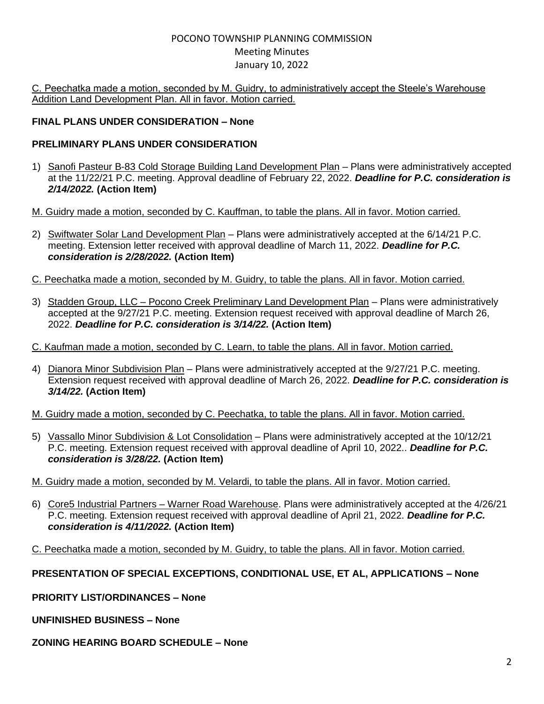# POCONO TOWNSHIP PLANNING COMMISSION Meeting Minutes January 10, 2022

C. Peechatka made a motion, seconded by M. Guidry, to administratively accept the Steele's Warehouse Addition Land Development Plan. All in favor. Motion carried.

## **FINAL PLANS UNDER CONSIDERATION – None**

# **PRELIMINARY PLANS UNDER CONSIDERATION**

- 1) Sanofi Pasteur B-83 Cold Storage Building Land Development Plan Plans were administratively accepted at the 11/22/21 P.C. meeting. Approval deadline of February 22, 2022. *Deadline for P.C. consideration is 2/14/2022.* **(Action Item)**
- M. Guidry made a motion, seconded by C. Kauffman, to table the plans. All in favor. Motion carried.
- 2) Swiftwater Solar Land Development Plan Plans were administratively accepted at the 6/14/21 P.C. meeting. Extension letter received with approval deadline of March 11, 2022. *Deadline for P.C. consideration is 2/28/2022.* **(Action Item)**
- C. Peechatka made a motion, seconded by M. Guidry, to table the plans. All in favor. Motion carried.
- 3) Stadden Group, LLC Pocono Creek Preliminary Land Development Plan Plans were administratively accepted at the 9/27/21 P.C. meeting. Extension request received with approval deadline of March 26, 2022. *Deadline for P.C. consideration is 3/14/22.* **(Action Item)**
- C. Kaufman made a motion, seconded by C. Learn, to table the plans. All in favor. Motion carried.
- 4) Dianora Minor Subdivision Plan Plans were administratively accepted at the 9/27/21 P.C. meeting. Extension request received with approval deadline of March 26, 2022. *Deadline for P.C. consideration is 3/14/22.* **(Action Item)**
- M. Guidry made a motion, seconded by C. Peechatka, to table the plans. All in favor. Motion carried.
- 5) Vassallo Minor Subdivision & Lot Consolidation Plans were administratively accepted at the 10/12/21 P.C. meeting. Extension request received with approval deadline of April 10, 2022.. *Deadline for P.C. consideration is 3/28/22.* **(Action Item)**
- M. Guidry made a motion, seconded by M. Velardi, to table the plans. All in favor. Motion carried.
- 6) Core5 Industrial Partners Warner Road Warehouse. Plans were administratively accepted at the 4/26/21 P.C. meeting. Extension request received with approval deadline of April 21, 2022. *Deadline for P.C. consideration is 4/11/2022.* **(Action Item)**
- C. Peechatka made a motion, seconded by M. Guidry, to table the plans. All in favor. Motion carried.

## **PRESENTATION OF SPECIAL EXCEPTIONS, CONDITIONAL USE, ET AL, APPLICATIONS – None**

**PRIORITY LIST/ORDINANCES – None** 

**UNFINISHED BUSINESS – None** 

### **ZONING HEARING BOARD SCHEDULE – None**